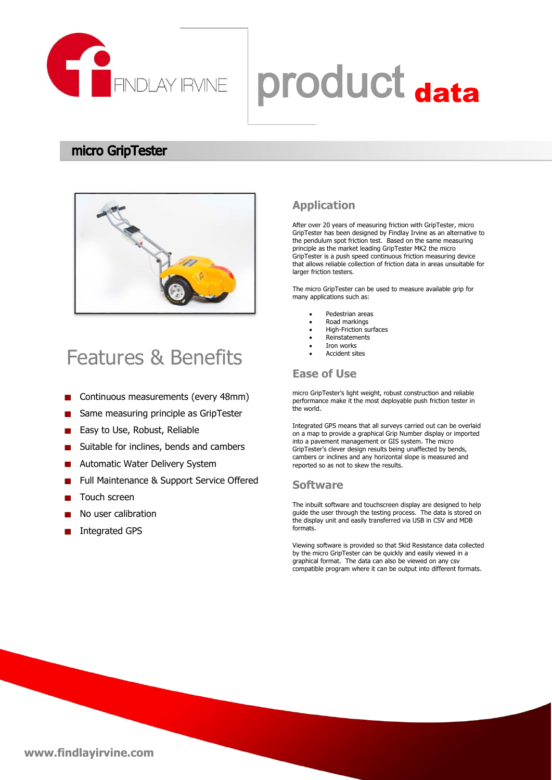

# ENDLAY RVINE Droduct data

#### micro GripTester



### Features & Benefits

- Continuous measurements (every 48mm)
- Same measuring principle as GripTester п
- Easy to Use, Robust, Reliable
- Suitable for inclines, bends and cambers
- Automatic Water Delivery System
- Full Maintenance & Support Service Offered
- Touch screen
- No user calibration
- Integrated GPS

#### **Application**

After over 20 years of measuring friction with GripTester, micro GripTester has been designed by Findlay Irvine as an alternative to the pendulum spot friction test. Based on the same measuring principle as the market leading GripTester MK2 the micro GripTester is a push speed continuous friction measuring device that allows reliable collection of friction data in areas unsuitable for larger friction testers.

The micro GripTester can be used to measure available grip for many applications such as:

- Pedestrian areas
- Road markings
- High-Friction surfaces
- Reinstatements Iron works
- Accident sites

#### **Ease of Use**

micro GripTester's light weight, robust construction and reliable performance make it the most deployable push friction tester in the world.

Integrated GPS means that all surveys carried out can be overlaid on a map to provide a graphical Grip Number display or imported into a pavement management or GIS system. The micro GripTester's clever design results being unaffected by bends, cambers or inclines and any horizontal slope is measured and reported so as not to skew the results.

#### **Software**

The inbuilt software and touchscreen display are designed to help guide the user through the testing process. The data is stored on the display unit and easily transferred via USB in CSV and MDB formats.

Viewing software is provided so that Skid Resistance data collected by the micro GripTester can be quickly and easily viewed in a graphical format. The data can also be viewed on any csv compatible program where it can be output into different formats.